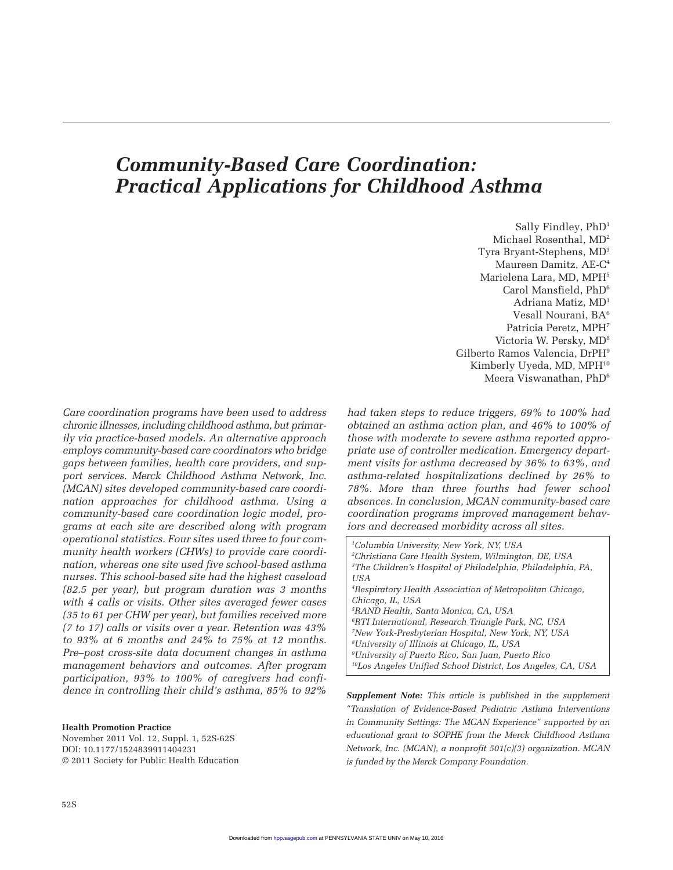# *Community-Based Care Coordination: Practical Applications for Childhood Asthma*

Sally Findley, PhD1 Michael Rosenthal, MD2 Tyra Bryant-Stephens, MD3 Maureen Damitz, AE-C4 Marielena Lara, MD, MPH5 Carol Mansfield, PhD<sup>6</sup> Adriana Matiz, MD1 Vesall Nourani, BA<sup>6</sup> Patricia Peretz, MPH<sup>7</sup> Victoria W. Persky, MD8 Gilberto Ramos Valencia, DrPH9 Kimberly Uyeda, MD, MPH<sup>10</sup> Meera Viswanathan, PhD<sup>6</sup>

*Care coordination programs have been used to address chronic illnesses, including childhood asthma, but primarily via practice-based models. An alternative approach employs community-based care coordinators who bridge gaps between families, health care providers, and support services. Merck Childhood Asthma Network, Inc. (MCAN) sites developed community-based care coordination approaches for childhood asthma. Using a community-based care coordination logic model, programs at each site are described along with program operational statistics. Four sites used three to four community health workers (CHWs) to provide care coordination, whereas one site used five school-based asthma nurses. This school-based site had the highest caseload (82.5 per year), but program duration was 3 months with 4 calls or visits. Other sites averaged fewer cases (35 to 61 per CHW per year), but families received more (7 to 17) calls or visits over a year. Retention was 43% to 93% at 6 months and 24% to 75% at 12 months. Pre–post cross-site data document changes in asthma management behaviors and outcomes. After program participation, 93% to 100% of caregivers had confidence in controlling their child's asthma, 85% to 92%* 

#### **Health Promotion Practice**

November 2011 Vol. 12, Suppl. 1, 52S-62S DOI: 10.1177/1524839911404231 © 2011 Society for Public Health Education *had taken steps to reduce triggers, 69% to 100% had obtained an asthma action plan, and 46% to 100% of those with moderate to severe asthma reported appropriate use of controller medication. Emergency department visits for asthma decreased by 36% to 63%, and asthma-related hospitalizations declined by 26% to 78%. More than three fourths had fewer school absences. In conclusion, MCAN community-based care coordination programs improved management behaviors and decreased morbidity across all sites.*

 *Columbia University, New York, NY, USA Christiana Care Health System, Wilmington, DE, USA The Children's Hospital of Philadelphia, Philadelphia, PA, USA Respiratory Health Association of Metropolitan Chicago, Chicago, IL, USA RAND Health, Santa Monica, CA, USA RTI International, Research Triangle Park, NC, USA New York-Presbyterian Hospital, New York, NY, USA University of Illinois at Chicago, IL, USA University of Puerto Rico, San Juan, Puerto Rico 10Los Angeles Unified School District, Los Angeles, CA, USA*

*Supplement Note: This article is published in the supplement "Translation of Evidence-Based Pediatric Asthma Interventions in Community Settings: The MCAN Experience" supported by an educational grant to SOPHE from the Merck Childhood Asthma Network, Inc. (MCAN), a nonprofit 501(c)(3) organization. MCAN is funded by the Merck Company Foundation.*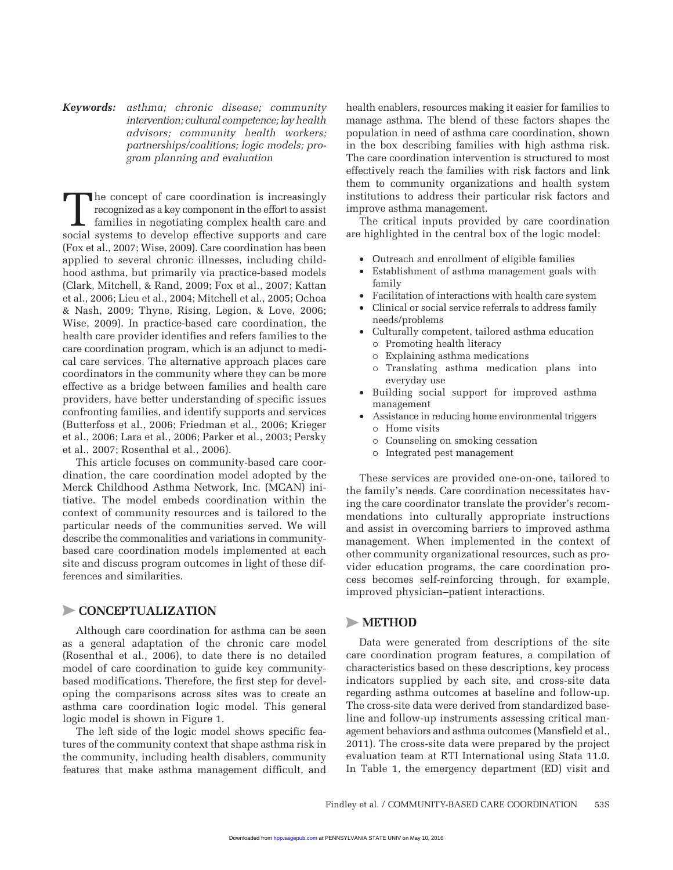*Keywords: asthma; chronic disease; community intervention; cultural competence; lay health advisors; community health workers; partnerships/coalitions; logic models; program planning and evaluation*

The concept of care coordination is increasingly<br>recognized as a key component in the effort to assist<br>families in negotiating complex health care and<br>social systems to dovelop offective supports and care recognized as a key component in the effort to assist families in negotiating complex health care and social systems to develop effective supports and care (Fox et al., 2007; Wise, 2009). Care coordination has been applied to several chronic illnesses, including childhood asthma, but primarily via practice-based models (Clark, Mitchell, & Rand, 2009; Fox et al., 2007; Kattan et al., 2006; Lieu et al., 2004; Mitchell et al., 2005; Ochoa & Nash, 2009; Thyne, Rising, Legion, & Love, 2006; Wise, 2009). In practice-based care coordination, the health care provider identifies and refers families to the care coordination program, which is an adjunct to medical care services. The alternative approach places care coordinators in the community where they can be more effective as a bridge between families and health care providers, have better understanding of specific issues confronting families, and identify supports and services (Butterfoss et al., 2006; Friedman et al., 2006; Krieger et al., 2006; Lara et al., 2006; Parker et al., 2003; Persky et al., 2007; Rosenthal et al., 2006).

This article focuses on community-based care coordination, the care coordination model adopted by the Merck Childhood Asthma Network, Inc. (MCAN) initiative. The model embeds coordination within the context of community resources and is tailored to the particular needs of the communities served. We will describe the commonalities and variations in communitybased care coordination models implemented at each site and discuss program outcomes in light of these differences and similarities.

## > **CONCEPTUALIZATION**

Although care coordination for asthma can be seen as a general adaptation of the chronic care model (Rosenthal et al., 2006), to date there is no detailed model of care coordination to guide key communitybased modifications. Therefore, the first step for developing the comparisons across sites was to create an asthma care coordination logic model. This general logic model is shown in Figure 1.

The left side of the logic model shows specific features of the community context that shape asthma risk in the community, including health disablers, community features that make asthma management difficult, and health enablers, resources making it easier for families to manage asthma. The blend of these factors shapes the population in need of asthma care coordination, shown in the box describing families with high asthma risk. The care coordination intervention is structured to most effectively reach the families with risk factors and link them to community organizations and health system institutions to address their particular risk factors and improve asthma management.

The critical inputs provided by care coordination are highlighted in the central box of the logic model:

- Outreach and enrollment of eligible families
- Establishment of asthma management goals with family
- Facilitation of interactions with health care system
- Clinical or social service referrals to address family needs/problems
- Culturally competent, tailored asthma education o Promoting health literacy
	- Explaining asthma medications
	- Translating asthma medication plans into everyday use
- Building social support for improved asthma management
- Assistance in reducing home environmental triggers Home visits
	- Counseling on smoking cessation
	- Integrated pest management

These services are provided one-on-one, tailored to the family's needs. Care coordination necessitates having the care coordinator translate the provider's recommendations into culturally appropriate instructions and assist in overcoming barriers to improved asthma management. When implemented in the context of other community organizational resources, such as provider education programs, the care coordination process becomes self-reinforcing through, for example, improved physician–patient interactions.

#### > **METHOD**

Data were generated from descriptions of the site care coordination program features, a compilation of characteristics based on these descriptions, key process indicators supplied by each site, and cross-site data regarding asthma outcomes at baseline and follow-up. The cross-site data were derived from standardized baseline and follow-up instruments assessing critical management behaviors and asthma outcomes (Mansfield et al., 2011). The cross-site data were prepared by the project evaluation team at RTI International using Stata 11.0. In Table 1, the emergency department (ED) visit and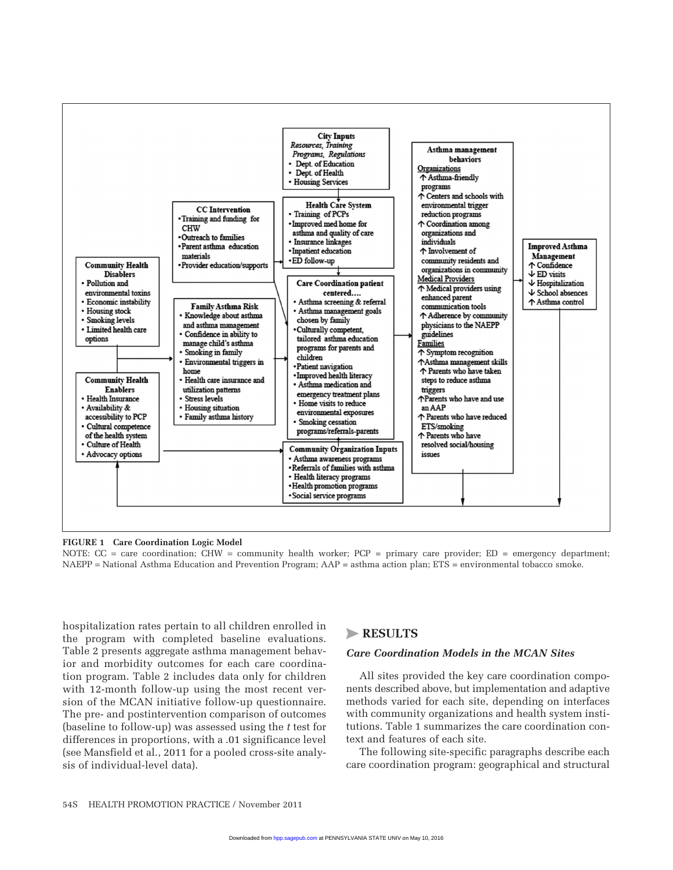

**FIGURE 1 Care Coordination Logic Model**

NOTE: CC = care coordination; CHW = community health worker; PCP = primary care provider; ED = emergency department; NAEPP = National Asthma Education and Prevention Program; AAP = asthma action plan; ETS = environmental tobacco smoke.

hospitalization rates pertain to all children enrolled in the program with completed baseline evaluations. Table 2 presents aggregate asthma management behavior and morbidity outcomes for each care coordination program. Table 2 includes data only for children with 12-month follow-up using the most recent version of the MCAN initiative follow-up questionnaire. The pre- and postintervention comparison of outcomes (baseline to follow-up) was assessed using the *t* test for differences in proportions, with a .01 significance level (see Mansfield et al., 2011 for a pooled cross-site analysis of individual-level data).

## > **RESULTS**

## *Care Coordination Models in the MCAN Sites*

All sites provided the key care coordination components described above, but implementation and adaptive methods varied for each site, depending on interfaces with community organizations and health system institutions. Table 1 summarizes the care coordination context and features of each site.

The following site-specific paragraphs describe each care coordination program: geographical and structural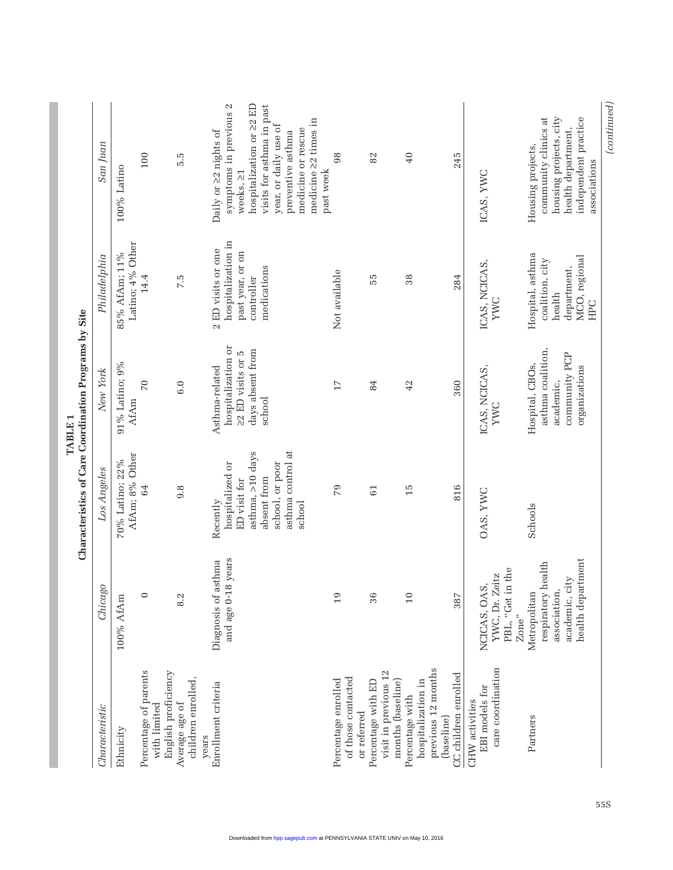|                                                                           |                                                                                                | Characteristics of Care Coordination Programs by Site                             | TABLE <sub>1</sub>                                                                  |                                                                                      |                                                                                                                                                                |
|---------------------------------------------------------------------------|------------------------------------------------------------------------------------------------|-----------------------------------------------------------------------------------|-------------------------------------------------------------------------------------|--------------------------------------------------------------------------------------|----------------------------------------------------------------------------------------------------------------------------------------------------------------|
| Characteristic                                                            | Chicago                                                                                        | Los Angeles                                                                       | New York                                                                            | Philadelphia                                                                         | San Juan                                                                                                                                                       |
| Ethnicity                                                                 | 100% AfAm                                                                                      | AfAm; 8% Other<br>70% Latino; 22%                                                 | 91% Latino; 9%<br>AfAm                                                              | Latino; 4% Other<br>85% AfAm; 11%                                                    | 100% Latino                                                                                                                                                    |
| Percentage of parents<br>English proficiency<br>with limited              | $\circ$                                                                                        | 64                                                                                | 70                                                                                  | 14.4                                                                                 | 100                                                                                                                                                            |
| children enrolled,<br>Average age of<br>years                             | 8.2                                                                                            | $\frac{8}{9}$                                                                     | $6.0\,$                                                                             | 7.5                                                                                  | 5.5                                                                                                                                                            |
| Enrollment criteria                                                       | and age 0-18 years<br>Diagnosis of asthma                                                      | hospitalized or<br>$\mathop{\rm ED}\nolimits$ visit for<br>Recently               | hospitalization or<br>22 ED visits or 5<br>Asthma-related                           | hospitalization in<br>2 ED visits or one<br>past year, or on                         | symptoms in previous 2<br>Daily or ≥2 nights of<br>$weeks, \geq 1$                                                                                             |
|                                                                           |                                                                                                | asthma control at<br>asthma, >10 days<br>school, or poor<br>absent from<br>school | days absent from<br>school                                                          | medications<br>controller                                                            | hospitalization or 22 ED<br>visits for asthma in past<br>medicine ≥2 times in<br>year, or daily use of<br>medicine or rescue<br>preventive asthma<br>past week |
| of those contacted<br>Percentage enrolled<br>or referred                  | 19                                                                                             | 79                                                                                | 17                                                                                  | Not available                                                                        | 98                                                                                                                                                             |
| visit in previous 12<br>months (baseline)<br>Percentage with ED           | 36                                                                                             | 61                                                                                | 84                                                                                  | 55                                                                                   | 82                                                                                                                                                             |
| previous 12 months<br>hospitalization in<br>Percentage with<br>(baseline) | 10                                                                                             | 15                                                                                | 42                                                                                  | 38                                                                                   | 40                                                                                                                                                             |
| CC children enrolled                                                      | 387                                                                                            | 816                                                                               | 360                                                                                 | 284                                                                                  | 245                                                                                                                                                            |
| care coordination<br>EBI models for<br>CHW activities                     | PBL, "Get in the<br>YWC, Dr. Zeitz<br>NCICAS, OAS,<br>$\mathrm{Zone}^"$                        | OAS, YWC                                                                          | ICAS, NCICAS,<br>YWC                                                                | ICAS, NCICAS,<br>YWC                                                                 | ICAS, YWC                                                                                                                                                      |
| Partners                                                                  | health department<br>health<br>city<br>Metropolitan<br>respiratory<br>association<br>academic, | Schools                                                                           | asthma coalition,<br>community PCP<br>Hospital, CBOs,<br>organizations<br>academic, | Hospital, asthma<br>MCO, regional<br>coalition, city<br>department,<br>health<br>HPC | housing projects, city<br>community clinics at<br>independent practice<br>health department,<br>Housing projects,<br>associations                              |
|                                                                           |                                                                                                |                                                                                   |                                                                                     |                                                                                      | (continued)                                                                                                                                                    |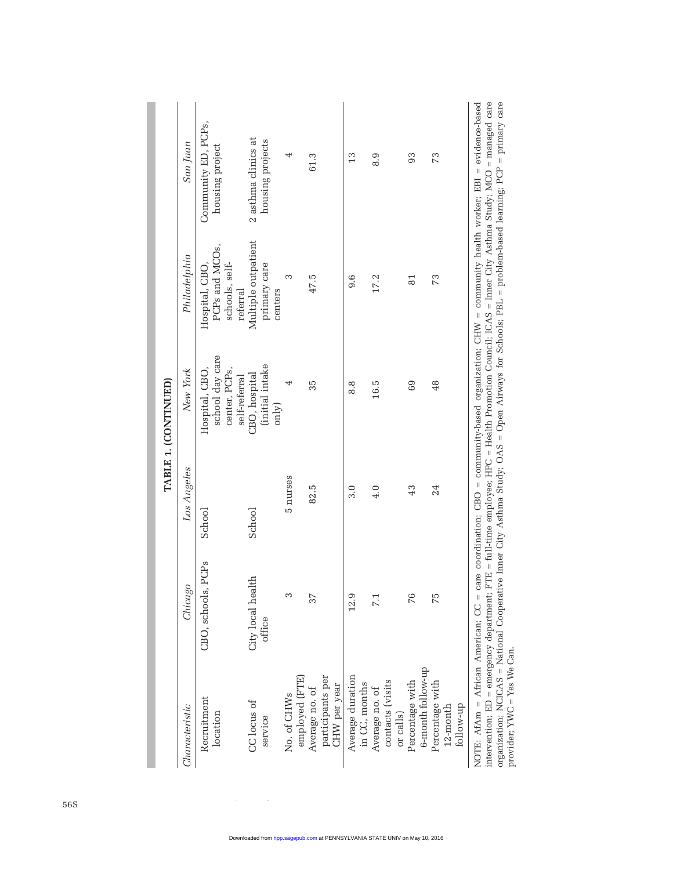|                                                    |                             |             | TABLE 1. (CONTINUED)                                                |                                                                |                                         |
|----------------------------------------------------|-----------------------------|-------------|---------------------------------------------------------------------|----------------------------------------------------------------|-----------------------------------------|
| Characteristic                                     | $Chicago$                   | Los Angeles | New York                                                            | Philadelphia                                                   | San Juan                                |
| Recruitment<br>location                            | CBO, schools, PCPs          | School      | school day care<br>Hospital, CBO,<br>center, PCPs,<br>self-referral | PCPs and MCOs,<br>schools, self-<br>Hospital, CBO,<br>referral | Community ED, PCPs,<br>housing project  |
| CC locus of<br>service                             | City local health<br>office | School      | (initial intake<br>CBO, hospital<br>only)                           | Multiple outpatient<br>primary care<br>centers                 | 2 asthma clinics at<br>housing projects |
| employed (FTE)<br>No. of CHWs                      | $\infty$                    | 5 nurses    | 4                                                                   | 3                                                              | 4                                       |
| participants per<br>CHW per year<br>Average no. of | 37                          | 82.5        | 35                                                                  | 47.5                                                           | 61.3                                    |
| Average duration<br>in CC, months                  | 12.9                        | 3.0         | 8.8                                                                 | 9.6                                                            | 13                                      |
| contacts (visits<br>Average no. of<br>or calls)    | 7.1                         | 4.0         | 16.5                                                                | 17.2                                                           | 8.9                                     |
| 6-month follow-up<br>Percentage with               | 76                          | 43          | 69                                                                  | 81                                                             | 93                                      |
| Percentage with<br>follow-up<br>$12$ -month        | 75                          | 24          | 48                                                                  | 73                                                             | 73                                      |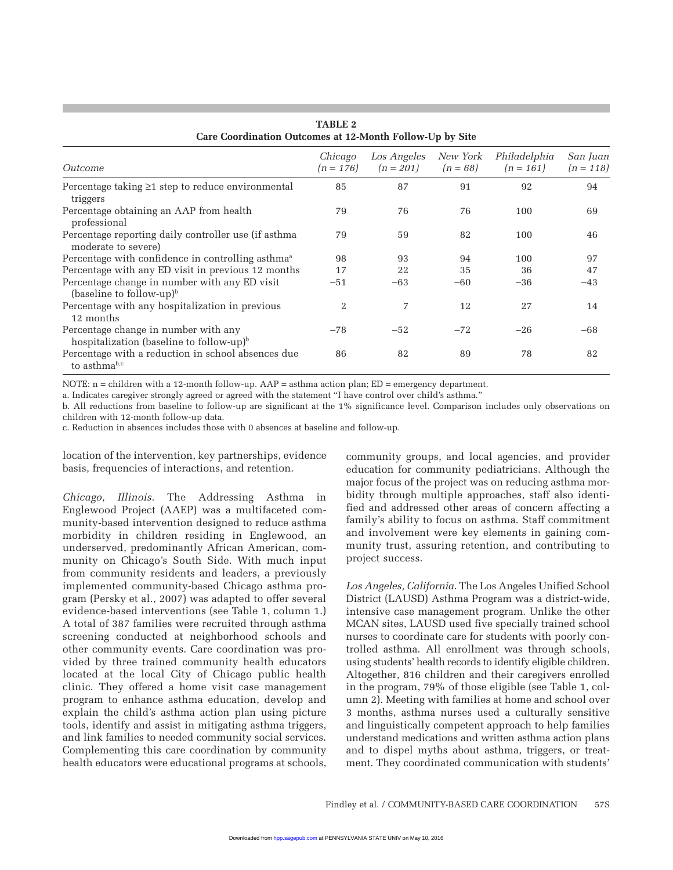| Outcome                                                                                      | Chicago<br>$(n = 176)$ | Los Angeles<br>$(n = 201)$ | New York<br>$(n = 68)$ | Philadelphia<br>$(n = 161)$ | San Juan<br>$(n = 118)$ |
|----------------------------------------------------------------------------------------------|------------------------|----------------------------|------------------------|-----------------------------|-------------------------|
| Percentage taking $\geq 1$ step to reduce environmental<br>triggers                          | 85                     | 87                         | 91                     | 92                          | 94                      |
| Percentage obtaining an AAP from health<br>professional                                      | 79                     | 76                         | 76                     | 100                         | 69                      |
| Percentage reporting daily controller use (if asthma<br>moderate to severe)                  | 79                     | 59                         | 82                     | 100                         | 46                      |
| Percentage with confidence in controlling asthma <sup>a</sup>                                | 98                     | 93                         | 94                     | 100                         | 97                      |
| Percentage with any ED visit in previous 12 months                                           | 17                     | 22                         | 35                     | 36                          | 47                      |
| Percentage change in number with any ED visit<br>(baseline to follow-up) $\mathbf{b}$        | $-51$                  | $-63$                      | $-60$                  | $-36$                       | $-43$                   |
| Percentage with any hospitalization in previous<br>12 months                                 | $\overline{2}$         | 7                          | 12                     | 27                          | 14                      |
| Percentage change in number with any<br>hospitalization (baseline to follow-up) <sup>b</sup> | $-78$                  | $-52$                      | $-72$                  | $-26$                       | $-68$                   |
| Percentage with a reduction in school absences due<br>to asthmab,c                           | 86                     | 82                         | 89                     | 78                          | 82                      |

**TABLE 2 Care Coordination Outcomes at 12-Month Follow-Up by Site**

NOTE: n = children with a 12-month follow-up. AAP = asthma action plan; ED = emergency department.

a. Indicates caregiver strongly agreed or agreed with the statement "I have control over child's asthma."

b. All reductions from baseline to follow-up are significant at the 1% significance level. Comparison includes only observations on children with 12-month follow-up data.

c. Reduction in absences includes those with 0 absences at baseline and follow-up.

location of the intervention, key partnerships, evidence basis, frequencies of interactions, and retention.

*Chicago, Illinois.* The Addressing Asthma in Englewood Project (AAEP) was a multifaceted community-based intervention designed to reduce asthma morbidity in children residing in Englewood, an underserved, predominantly African American, community on Chicago's South Side. With much input from community residents and leaders, a previously implemented community-based Chicago asthma program (Persky et al., 2007) was adapted to offer several evidence-based interventions (see Table 1, column 1.) A total of 387 families were recruited through asthma screening conducted at neighborhood schools and other community events. Care coordination was provided by three trained community health educators located at the local City of Chicago public health clinic. They offered a home visit case management program to enhance asthma education, develop and explain the child's asthma action plan using picture tools, identify and assist in mitigating asthma triggers, and link families to needed community social services. Complementing this care coordination by community health educators were educational programs at schools, community groups, and local agencies, and provider education for community pediatricians. Although the major focus of the project was on reducing asthma morbidity through multiple approaches, staff also identified and addressed other areas of concern affecting a family's ability to focus on asthma. Staff commitment and involvement were key elements in gaining community trust, assuring retention, and contributing to project success.

*Los Angeles, California*. The Los Angeles Unified School District (LAUSD) Asthma Program was a district-wide, intensive case management program. Unlike the other MCAN sites, LAUSD used five specially trained school nurses to coordinate care for students with poorly controlled asthma. All enrollment was through schools, using students' health records to identify eligible children. Altogether, 816 children and their caregivers enrolled in the program, 79% of those eligible (see Table 1, column 2). Meeting with families at home and school over 3 months, asthma nurses used a culturally sensitive and linguistically competent approach to help families understand medications and written asthma action plans and to dispel myths about asthma, triggers, or treatment. They coordinated communication with students'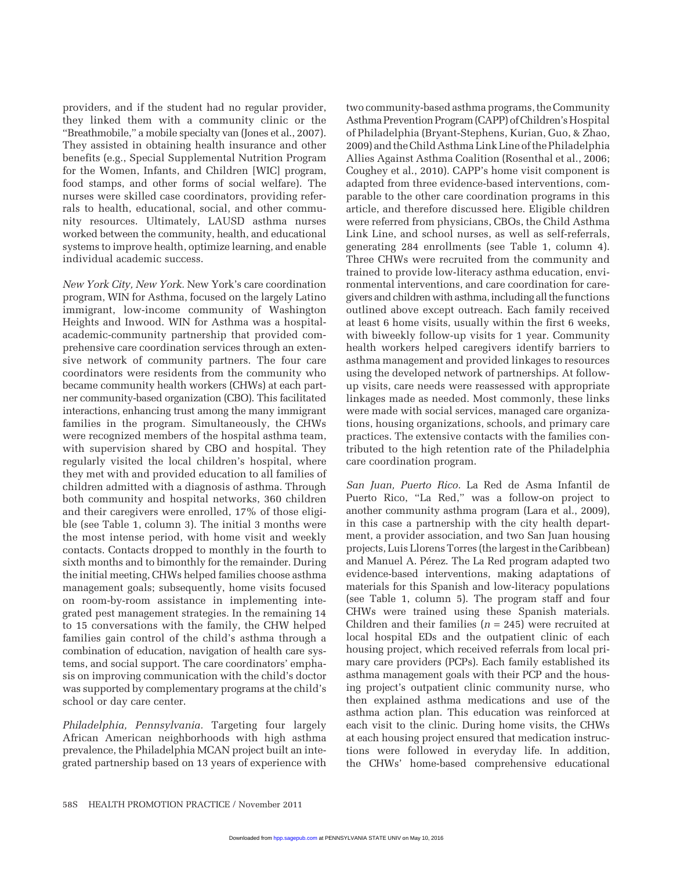providers, and if the student had no regular provider, they linked them with a community clinic or the "Breathmobile," a mobile specialty van (Jones et al., 2007). They assisted in obtaining health insurance and other benefits (e.g., Special Supplemental Nutrition Program for the Women, Infants, and Children [WIC] program, food stamps, and other forms of social welfare). The nurses were skilled case coordinators, providing referrals to health, educational, social, and other community resources. Ultimately, LAUSD asthma nurses worked between the community, health, and educational systems to improve health, optimize learning, and enable individual academic success.

*New York City, New York.* New York's care coordination program, WIN for Asthma, focused on the largely Latino immigrant, low-income community of Washington Heights and Inwood. WIN for Asthma was a hospitalacademic-community partnership that provided comprehensive care coordination services through an extensive network of community partners. The four care coordinators were residents from the community who became community health workers (CHWs) at each partner community-based organization (CBO). This facilitated interactions, enhancing trust among the many immigrant families in the program. Simultaneously, the CHWs were recognized members of the hospital asthma team, with supervision shared by CBO and hospital. They regularly visited the local children's hospital, where they met with and provided education to all families of children admitted with a diagnosis of asthma. Through both community and hospital networks, 360 children and their caregivers were enrolled, 17% of those eligible (see Table 1, column 3). The initial 3 months were the most intense period, with home visit and weekly contacts. Contacts dropped to monthly in the fourth to sixth months and to bimonthly for the remainder. During the initial meeting, CHWs helped families choose asthma management goals; subsequently, home visits focused on room-by-room assistance in implementing integrated pest management strategies. In the remaining 14 to 15 conversations with the family, the CHW helped families gain control of the child's asthma through a combination of education, navigation of health care systems, and social support. The care coordinators' emphasis on improving communication with the child's doctor was supported by complementary programs at the child's school or day care center.

*Philadelphia, Pennsylvania.* Targeting four largely African American neighborhoods with high asthma prevalence, the Philadelphia MCAN project built an integrated partnership based on 13 years of experience with two community-based asthma programs, the Community Asthma Prevention Program (CAPP) of Children's Hospital of Philadelphia (Bryant-Stephens, Kurian, Guo, & Zhao, 2009) and the Child Asthma Link Line of the Philadelphia Allies Against Asthma Coalition (Rosenthal et al., 2006; Coughey et al., 2010). CAPP's home visit component is adapted from three evidence-based interventions, comparable to the other care coordination programs in this article, and therefore discussed here. Eligible children were referred from physicians, CBOs, the Child Asthma Link Line, and school nurses, as well as self-referrals, generating 284 enrollments (see Table 1, column 4). Three CHWs were recruited from the community and trained to provide low-literacy asthma education, environmental interventions, and care coordination for caregivers and children with asthma, including all the functions outlined above except outreach. Each family received at least 6 home visits, usually within the first 6 weeks, with biweekly follow-up visits for 1 year. Community health workers helped caregivers identify barriers to asthma management and provided linkages to resources using the developed network of partnerships. At followup visits, care needs were reassessed with appropriate linkages made as needed. Most commonly, these links were made with social services, managed care organizations, housing organizations, schools, and primary care practices. The extensive contacts with the families contributed to the high retention rate of the Philadelphia care coordination program.

*San Juan, Puerto Rico.* La Red de Asma Infantil de Puerto Rico, "La Red," was a follow-on project to another community asthma program (Lara et al., 2009), in this case a partnership with the city health department, a provider association, and two San Juan housing projects, Luis Llorens Torres (the largest in the Caribbean) and Manuel A. Pérez. The La Red program adapted two evidence-based interventions, making adaptations of materials for this Spanish and low-literacy populations (see Table 1, column 5). The program staff and four CHWs were trained using these Spanish materials. Children and their families (*n* = 245) were recruited at local hospital EDs and the outpatient clinic of each housing project, which received referrals from local primary care providers (PCPs). Each family established its asthma management goals with their PCP and the housing project's outpatient clinic community nurse, who then explained asthma medications and use of the asthma action plan. This education was reinforced at each visit to the clinic. During home visits, the CHWs at each housing project ensured that medication instructions were followed in everyday life. In addition, the CHWs' home-based comprehensive educational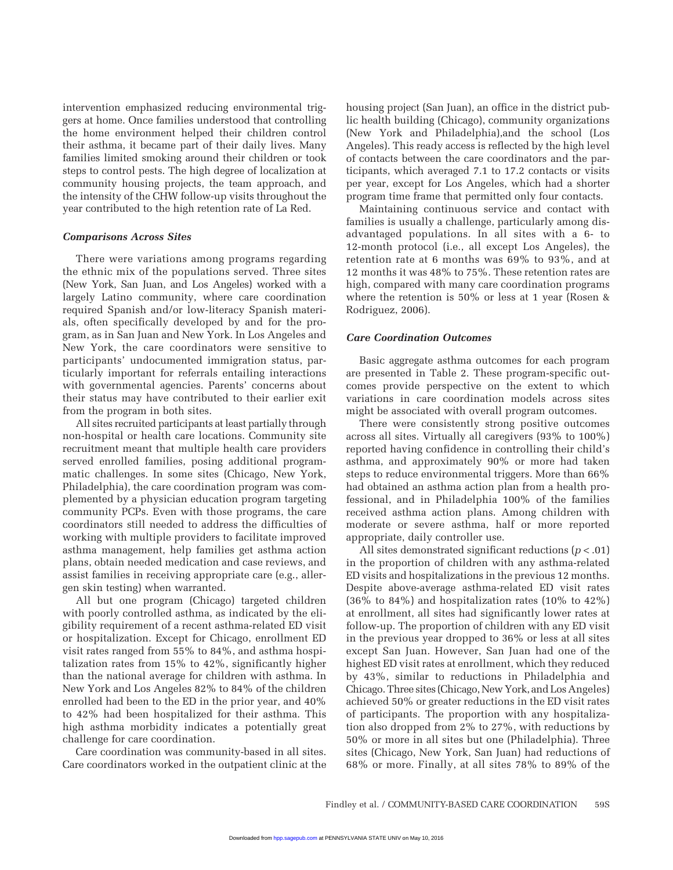intervention emphasized reducing environmental triggers at home. Once families understood that controlling the home environment helped their children control their asthma, it became part of their daily lives. Many families limited smoking around their children or took steps to control pests. The high degree of localization at community housing projects, the team approach, and the intensity of the CHW follow-up visits throughout the year contributed to the high retention rate of La Red.

#### *Comparisons Across Sites*

There were variations among programs regarding the ethnic mix of the populations served. Three sites (New York, San Juan, and Los Angeles) worked with a largely Latino community, where care coordination required Spanish and/or low-literacy Spanish materials, often specifically developed by and for the program, as in San Juan and New York. In Los Angeles and New York, the care coordinators were sensitive to participants' undocumented immigration status, particularly important for referrals entailing interactions with governmental agencies. Parents' concerns about their status may have contributed to their earlier exit from the program in both sites.

All sites recruited participants at least partially through non-hospital or health care locations. Community site recruitment meant that multiple health care providers served enrolled families, posing additional programmatic challenges. In some sites (Chicago, New York, Philadelphia), the care coordination program was complemented by a physician education program targeting community PCPs. Even with those programs, the care coordinators still needed to address the difficulties of working with multiple providers to facilitate improved asthma management, help families get asthma action plans, obtain needed medication and case reviews, and assist families in receiving appropriate care (e.g., allergen skin testing) when warranted.

All but one program (Chicago) targeted children with poorly controlled asthma, as indicated by the eligibility requirement of a recent asthma-related ED visit or hospitalization. Except for Chicago, enrollment ED visit rates ranged from 55% to 84%, and asthma hospitalization rates from 15% to 42%, significantly higher than the national average for children with asthma. In New York and Los Angeles 82% to 84% of the children enrolled had been to the ED in the prior year, and 40% to 42% had been hospitalized for their asthma. This high asthma morbidity indicates a potentially great challenge for care coordination.

Care coordination was community-based in all sites. Care coordinators worked in the outpatient clinic at the housing project (San Juan), an office in the district public health building (Chicago), community organizations (New York and Philadelphia),and the school (Los Angeles). This ready access is reflected by the high level of contacts between the care coordinators and the participants, which averaged 7.1 to 17.2 contacts or visits per year, except for Los Angeles, which had a shorter program time frame that permitted only four contacts.

Maintaining continuous service and contact with families is usually a challenge, particularly among disadvantaged populations. In all sites with a 6- to 12-month protocol (i.e., all except Los Angeles), the retention rate at 6 months was 69% to 93%, and at 12 months it was 48% to 75%. These retention rates are high, compared with many care coordination programs where the retention is 50% or less at 1 year (Rosen & Rodriguez, 2006).

#### *Care Coordination Outcomes*

Basic aggregate asthma outcomes for each program are presented in Table 2. These program-specific outcomes provide perspective on the extent to which variations in care coordination models across sites might be associated with overall program outcomes.

There were consistently strong positive outcomes across all sites. Virtually all caregivers (93% to 100%) reported having confidence in controlling their child's asthma, and approximately 90% or more had taken steps to reduce environmental triggers. More than 66% had obtained an asthma action plan from a health professional, and in Philadelphia 100% of the families received asthma action plans. Among children with moderate or severe asthma, half or more reported appropriate, daily controller use.

All sites demonstrated significant reductions (*p* < .01) in the proportion of children with any asthma-related ED visits and hospitalizations in the previous 12 months. Despite above-average asthma-related ED visit rates  $(36\%$  to 84%) and hospitalization rates  $(10\%$  to 42%) at enrollment, all sites had significantly lower rates at follow-up. The proportion of children with any ED visit in the previous year dropped to 36% or less at all sites except San Juan. However, San Juan had one of the highest ED visit rates at enrollment, which they reduced by 43%, similar to reductions in Philadelphia and Chicago. Three sites (Chicago, New York, and Los Angeles) achieved 50% or greater reductions in the ED visit rates of participants. The proportion with any hospitalization also dropped from 2% to 27%, with reductions by 50% or more in all sites but one (Philadelphia). Three sites (Chicago, New York, San Juan) had reductions of 68% or more. Finally, at all sites 78% to 89% of the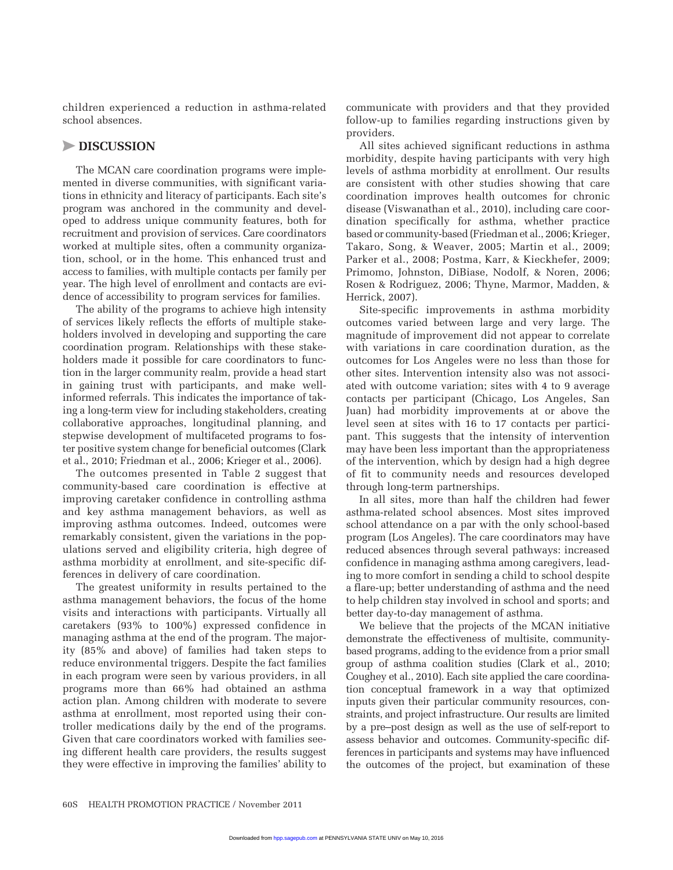children experienced a reduction in asthma-related school absences.

## > **DISCUSSION**

The MCAN care coordination programs were implemented in diverse communities, with significant variations in ethnicity and literacy of participants. Each site's program was anchored in the community and developed to address unique community features, both for recruitment and provision of services. Care coordinators worked at multiple sites, often a community organization, school, or in the home. This enhanced trust and access to families, with multiple contacts per family per year. The high level of enrollment and contacts are evidence of accessibility to program services for families.

The ability of the programs to achieve high intensity of services likely reflects the efforts of multiple stakeholders involved in developing and supporting the care coordination program. Relationships with these stakeholders made it possible for care coordinators to function in the larger community realm, provide a head start in gaining trust with participants, and make wellinformed referrals. This indicates the importance of taking a long-term view for including stakeholders, creating collaborative approaches, longitudinal planning, and stepwise development of multifaceted programs to foster positive system change for beneficial outcomes (Clark et al., 2010; Friedman et al., 2006; Krieger et al., 2006).

The outcomes presented in Table 2 suggest that community-based care coordination is effective at improving caretaker confidence in controlling asthma and key asthma management behaviors, as well as improving asthma outcomes. Indeed, outcomes were remarkably consistent, given the variations in the populations served and eligibility criteria, high degree of asthma morbidity at enrollment, and site-specific differences in delivery of care coordination.

The greatest uniformity in results pertained to the asthma management behaviors, the focus of the home visits and interactions with participants. Virtually all caretakers (93% to 100%) expressed confidence in managing asthma at the end of the program. The majority (85% and above) of families had taken steps to reduce environmental triggers. Despite the fact families in each program were seen by various providers, in all programs more than 66% had obtained an asthma action plan. Among children with moderate to severe asthma at enrollment, most reported using their controller medications daily by the end of the programs. Given that care coordinators worked with families seeing different health care providers, the results suggest they were effective in improving the families' ability to communicate with providers and that they provided follow-up to families regarding instructions given by providers.

All sites achieved significant reductions in asthma morbidity, despite having participants with very high levels of asthma morbidity at enrollment. Our results are consistent with other studies showing that care coordination improves health outcomes for chronic disease (Viswanathan et al., 2010), including care coordination specifically for asthma, whether practice based or community-based (Friedman et al., 2006; Krieger, Takaro, Song, & Weaver, 2005; Martin et al., 2009; Parker et al., 2008; Postma, Karr, & Kieckhefer, 2009; Primomo, Johnston, DiBiase, Nodolf, & Noren, 2006; Rosen & Rodriguez, 2006; Thyne, Marmor, Madden, & Herrick, 2007).

Site-specific improvements in asthma morbidity outcomes varied between large and very large. The magnitude of improvement did not appear to correlate with variations in care coordination duration, as the outcomes for Los Angeles were no less than those for other sites. Intervention intensity also was not associated with outcome variation; sites with 4 to 9 average contacts per participant (Chicago, Los Angeles, San Juan) had morbidity improvements at or above the level seen at sites with 16 to 17 contacts per participant. This suggests that the intensity of intervention may have been less important than the appropriateness of the intervention, which by design had a high degree of fit to community needs and resources developed through long-term partnerships.

In all sites, more than half the children had fewer asthma-related school absences. Most sites improved school attendance on a par with the only school-based program (Los Angeles). The care coordinators may have reduced absences through several pathways: increased confidence in managing asthma among caregivers, leading to more comfort in sending a child to school despite a flare-up; better understanding of asthma and the need to help children stay involved in school and sports; and better day-to-day management of asthma.

We believe that the projects of the MCAN initiative demonstrate the effectiveness of multisite, communitybased programs, adding to the evidence from a prior small group of asthma coalition studies (Clark et al., 2010; Coughey et al., 2010). Each site applied the care coordination conceptual framework in a way that optimized inputs given their particular community resources, constraints, and project infrastructure. Our results are limited by a pre–post design as well as the use of self-report to assess behavior and outcomes. Community-specific differences in participants and systems may have influenced the outcomes of the project, but examination of these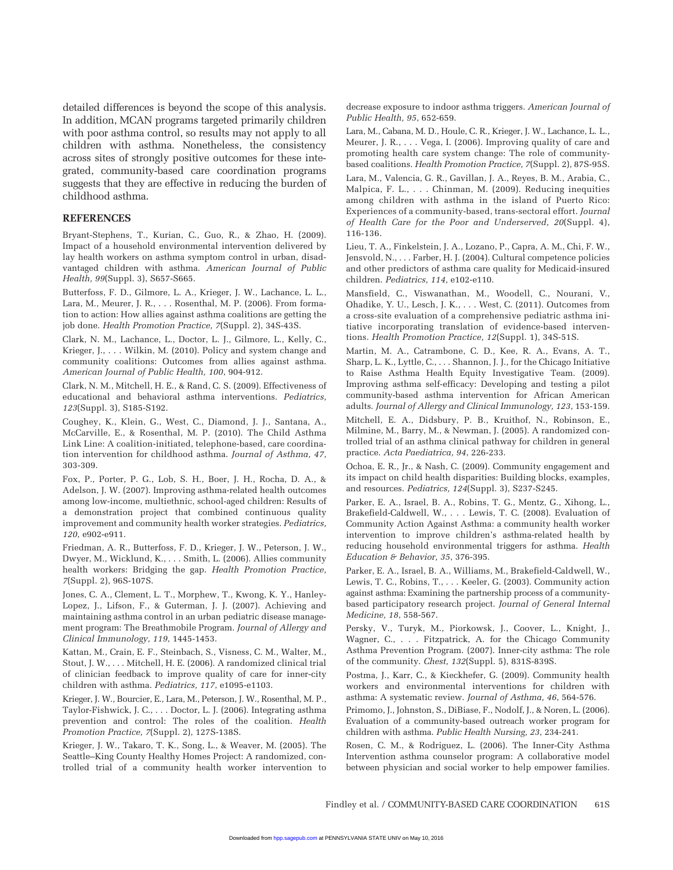detailed differences is beyond the scope of this analysis. In addition, MCAN programs targeted primarily children with poor asthma control, so results may not apply to all children with asthma. Nonetheless, the consistency across sites of strongly positive outcomes for these integrated, community-based care coordination programs suggests that they are effective in reducing the burden of childhood asthma.

#### **REFERENCES**

Bryant-Stephens, T., Kurian, C., Guo, R., & Zhao, H. (2009). Impact of a household environmental intervention delivered by lay health workers on asthma symptom control in urban, disadvantaged children with asthma. *American Journal of Public Health, 99*(Suppl. 3), S657-S665.

Butterfoss, F. D., Gilmore, L. A., Krieger, J. W., Lachance, L. L., Lara, M., Meurer, J. R., . . . Rosenthal, M. P. (2006). From formation to action: How allies against asthma coalitions are getting the job done. *Health Promotion Practice, 7*(Suppl. 2), 34S-43S.

Clark, N. M., Lachance, L., Doctor, L. J., Gilmore, L., Kelly, C., Krieger, J., . . . Wilkin, M. (2010). Policy and system change and community coalitions: Outcomes from allies against asthma. *American Journal of Public Health, 100*, 904-912.

Clark, N. M., Mitchell, H. E., & Rand, C. S. (2009). Effectiveness of educational and behavioral asthma interventions. *Pediatrics, 123*(Suppl. 3), S185-S192.

Coughey, K., Klein, G., West, C., Diamond, J. J., Santana, A., McCarville, E., & Rosenthal, M. P. (2010). The Child Asthma Link Line: A coalition-initiated, telephone-based, care coordination intervention for childhood asthma. *Journal of Asthma, 47*, 303-309.

Fox, P., Porter, P. G., Lob, S. H., Boer, J. H., Rocha, D. A., & Adelson, J. W. (2007). Improving asthma-related health outcomes among low-income, multiethnic, school-aged children: Results of a demonstration project that combined continuous quality improvement and community health worker strategies. *Pediatrics, 120*, e902-e911.

Friedman, A. R., Butterfoss, F. D., Krieger, J. W., Peterson, J. W., Dwyer, M., Wicklund, K., . . . Smith, L. (2006). Allies community health workers: Bridging the gap. *Health Promotion Practice, 7*(Suppl. 2), 96S-107S.

Jones, C. A., Clement, L. T., Morphew, T., Kwong, K. Y., Hanley-Lopez, J., Lifson, F., & Guterman, J. J. (2007). Achieving and maintaining asthma control in an urban pediatric disease management program: The Breathmobile Program. *Journal of Allergy and Clinical Immunology, 119*, 1445-1453.

Kattan, M., Crain, E. F., Steinbach, S., Visness, C. M., Walter, M., Stout, J. W., . . . Mitchell, H. E. (2006). A randomized clinical trial of clinician feedback to improve quality of care for inner-city children with asthma. *Pediatrics, 117*, e1095-e1103.

Krieger, J. W., Bourcier, E., Lara, M., Peterson, J. W., Rosenthal, M. P., Taylor-Fishwick, J. C., . . . Doctor, L. J. (2006). Integrating asthma prevention and control: The roles of the coalition. *Health Promotion Practice, 7*(Suppl. 2), 127S-138S.

Krieger, J. W., Takaro, T. K., Song, L., & Weaver, M. (2005). The Seattle–King County Healthy Homes Project: A randomized, controlled trial of a community health worker intervention to decrease exposure to indoor asthma triggers. *American Journal of Public Health, 95*, 652-659.

Lara, M., Cabana, M. D., Houle, C. R., Krieger, J. W., Lachance, L. L., Meurer, J. R., . . . Vega, I. (2006). Improving quality of care and promoting health care system change: The role of communitybased coalitions. *Health Promotion Practice, 7*(Suppl. 2), 87S-95S.

Lara, M., Valencia, G. R., Gavillan, J. A., Reyes, B. M., Arabia, C., Malpica, F. L., . . . Chinman, M. (2009). Reducing inequities among children with asthma in the island of Puerto Rico: Experiences of a community-based, trans-sectoral effort. *Journal of Health Care for the Poor and Underserved, 20*(Suppl. 4), 116-136.

Lieu, T. A., Finkelstein, J. A., Lozano, P., Capra, A. M., Chi, F. W., Jensvold, N., . . . Farber, H. J. (2004). Cultural competence policies and other predictors of asthma care quality for Medicaid-insured children. *Pediatrics, 114,* e102-e110.

Mansfield, C., Viswanathan, M., Woodell, C., Nourani, V., Ohadike, Y. U., Lesch, J. K., . . . West, C. (2011). Outcomes from a cross-site evaluation of a comprehensive pediatric asthma initiative incorporating translation of evidence-based interventions. *Health Promotion Practice, 12*(Suppl. 1), 34S-51S.

Martin, M. A., Catrambone, C. D., Kee, R. A., Evans, A. T., Sharp, L. K., Lyttle, C., . . . Shannon, J. J., for the Chicago Initiative to Raise Asthma Health Equity Investigative Team. (2009). Improving asthma self-efficacy: Developing and testing a pilot community-based asthma intervention for African American adults. *Journal of Allergy and Clinical Immunology, 123*, 153-159.

Mitchell, E. A., Didsbury, P. B., Kruithof, N., Robinson, E., Milmine, M., Barry, M., & Newman, J. (2005). A randomized controlled trial of an asthma clinical pathway for children in general practice. *Acta Paediatrica, 94*, 226-233.

Ochoa, E. R., Jr., & Nash, C. (2009). Community engagement and its impact on child health disparities: Building blocks, examples, and resources. *Pediatrics, 124*(Suppl. 3), S237-S245.

Parker, E. A., Israel, B. A., Robins, T. G., Mentz, G., Xihong, L., Brakefield-Caldwell, W., . . . Lewis, T. C. (2008). Evaluation of Community Action Against Asthma: a community health worker intervention to improve children's asthma-related health by reducing household environmental triggers for asthma. *Health Education & Behavior, 35*, 376-395.

Parker, E. A., Israel, B. A., Williams, M., Brakefield-Caldwell, W., Lewis, T. C., Robins, T., . . . Keeler, G. (2003). Community action against asthma: Examining the partnership process of a communitybased participatory research project. *Journal of General Internal Medicine, 18*, 558-567.

Persky, V., Turyk, M., Piorkowsk, J., Coover, L., Knight, J., Wagner, C., . . . Fitzpatrick, A. for the Chicago Community Asthma Prevention Program. (2007). Inner-city asthma: The role of the community. *Chest, 132*(Suppl. 5), 831S-839S.

Postma, J., Karr, C., & Kieckhefer, G. (2009). Community health workers and environmental interventions for children with asthma: A systematic review. *Journal of Asthma, 46*, 564-576.

Primomo, J., Johnston, S., DiBiase, F., Nodolf, J., & Noren, L. (2006). Evaluation of a community-based outreach worker program for children with asthma. *Public Health Nursing, 23*, 234-241.

Rosen, C. M., & Rodriguez, L. (2006). The Inner-City Asthma Intervention asthma counselor program: A collaborative model between physician and social worker to help empower families.